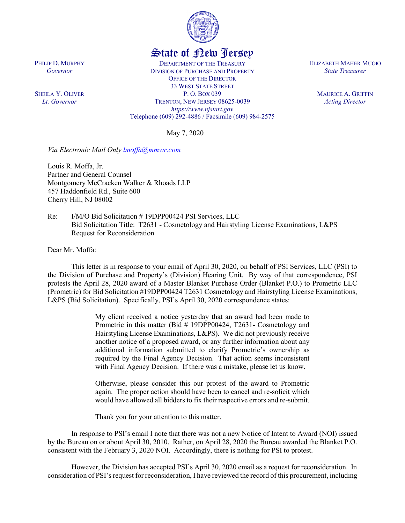

## State of New Jersey

DEPARTMENT OF THE TREASURY DIVISION OF PURCHASE AND PROPERTY OFFICE OF THE DIRECTOR 33 WEST STATE STREET P. O. BOX 039 TRENTON, NEW JERSEY 08625-0039 *https://www.njstart.gov* Telephone (609) 292-4886 / Facsimile (609) 984-2575

May 7, 2020

*Via Electronic Mail Only [lmoffa@mmwr.com](mailto:lmoffa@mmwr.com)*

Louis R. Moffa, Jr. Partner and General Counsel Montgomery McCracken Walker & Rhoads LLP 457 Haddonfield Rd., Suite 600 Cherry Hill, NJ 08002

Re: I/M/O Bid Solicitation # 19DPP00424 PSI Services, LLC Bid Solicitation Title: T2631 - Cosmetology and Hairstyling License Examinations, L&PS Request for Reconsideration

Dear Mr. Moffa:

This letter is in response to your email of April 30, 2020, on behalf of PSI Services, LLC (PSI) to the Division of Purchase and Property's (Division) Hearing Unit. By way of that correspondence, PSI protests the April 28, 2020 award of a Master Blanket Purchase Order (Blanket P.O.) to Prometric LLC (Prometric) for Bid Solicitation #19DPP00424 T2631 Cosmetology and Hairstyling License Examinations, L&PS (Bid Solicitation). Specifically, PSI's April 30, 2020 correspondence states:

> My client received a notice yesterday that an award had been made to Prometric in this matter (Bid # 19DPP00424, T2631- Cosmetology and Hairstyling License Examinations, L&PS). We did not previously receive another notice of a proposed award, or any further information about any additional information submitted to clarify Prometric's ownership as required by the Final Agency Decision. That action seems inconsistent with Final Agency Decision. If there was a mistake, please let us know.

> Otherwise, please consider this our protest of the award to Prometric again. The proper action should have been to cancel and re-solicit which would have allowed all bidders to fix their respective errors and re-submit.

Thank you for your attention to this matter.

In response to PSI's email I note that there was not a new Notice of Intent to Award (NOI) issued by the Bureau on or about April 30, 2010. Rather, on April 28, 2020 the Bureau awarded the Blanket P.O. consistent with the February 3, 2020 NOI. Accordingly, there is nothing for PSI to protest.

However, the Division has accepted PSI's April 30, 2020 email as a request for reconsideration. In consideration of PSI's request for reconsideration, I have reviewed the record of this procurement, including

PHILIP D. MURPHY *Governor*

SHEILA Y. OLIVER *Lt. Governor*

ELIZABETH MAHER MUOIO *State Treasurer*

> MAURICE A. GRIFFIN *Acting Director*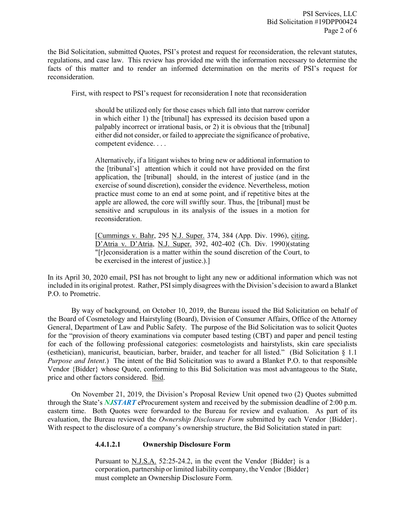the Bid Solicitation, submitted Quotes, PSI's protest and request for reconsideration, the relevant statutes, regulations, and case law. This review has provided me with the information necessary to determine the facts of this matter and to render an informed determination on the merits of PSI's request for reconsideration.

First, with respect to PSI's request for reconsideration I note that reconsideration

should be utilized only for those cases which fall into that narrow corridor in which either 1) the [tribunal] has expressed its decision based upon a palpably incorrect or irrational basis, or 2) it is obvious that the [tribunal] either did not consider, or failed to appreciate the significance of probative, competent evidence. . . .

Alternatively, if a litigant wishes to bring new or additional information to the [tribunal's] attention which it could not have provided on the first application, the [tribunal] should, in the interest of justice (and in the exercise of sound discretion), consider the evidence. Nevertheless, motion practice must come to an end at some point, and if repetitive bites at the apple are allowed, the core will swiftly sour. Thus, the [tribunal] must be sensitive and scrupulous in its analysis of the issues in a motion for reconsideration.

[Cummings v. Bahr, 295 N.J. Super. 374, 384 (App. Div. 1996), citing, D'Atria v. D'Atria, N.J. Super. 392, 402-402 (Ch. Div. 1990)(stating "[r]econsideration is a matter within the sound discretion of the Court, to be exercised in the interest of justice.).]

In its April 30, 2020 email, PSI has not brought to light any new or additional information which was not included in its original protest. Rather, PSI simply disagrees with the Division's decision to award a Blanket P.O. to Prometric.

By way of background, on October 10, 2019, the Bureau issued the Bid Solicitation on behalf of the Board of Cosmetology and Hairstyling (Board), Division of Consumer Affairs, Office of the Attorney General, Department of Law and Public Safety. The purpose of the Bid Solicitation was to solicit Quotes for the "provision of theory examinations via computer based testing (CBT) and paper and pencil testing for each of the following professional categories: cosmetologists and hairstylists, skin care specialists (esthetician), manicurist, beautician, barber, braider, and teacher for all listed." (Bid Solicitation § 1.1 *Purpose and Intent*.) The intent of the Bid Solicitation was to award a Blanket P.O. to that responsible Vendor {Bidder} whose Quote, conforming to this Bid Solicitation was most advantageous to the State, price and other factors considered. Ibid.

On November 21, 2019, the Division's Proposal Review Unit opened two (2) Quotes submitted through the State's *NJSTART* eProcurement system and received by the submission deadline of 2:00 p.m. eastern time. Both Quotes were forwarded to the Bureau for review and evaluation. As part of its evaluation, the Bureau reviewed the *Ownership Disclosure Form* submitted by each Vendor {Bidder}. With respect to the disclosure of a company's ownership structure, the Bid Solicitation stated in part:

## **4.4.1.2.1 Ownership Disclosure Form**

Pursuant to N.J.S.A. 52:25-24.2, in the event the Vendor {Bidder} is a corporation, partnership or limited liability company, the Vendor {Bidder} must complete an Ownership Disclosure Form.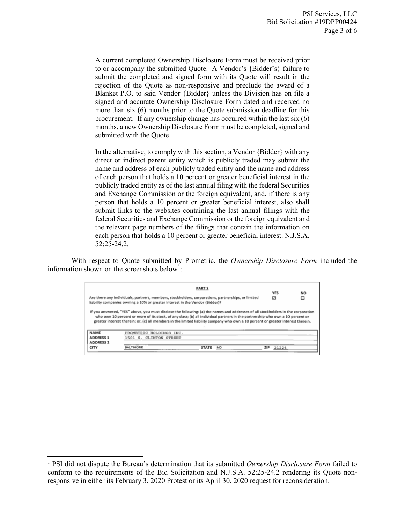A current completed Ownership Disclosure Form must be received prior to or accompany the submitted Quote. A Vendor's {Bidder's} failure to submit the completed and signed form with its Quote will result in the rejection of the Quote as non-responsive and preclude the award of a Blanket P.O. to said Vendor {Bidder} unless the Division has on file a signed and accurate Ownership Disclosure Form dated and received no more than six (6) months prior to the Quote submission deadline for this procurement. If any ownership change has occurred within the last six (6) months, a new Ownership Disclosure Form must be completed, signed and submitted with the Quote.

In the alternative, to comply with this section, a Vendor {Bidder} with any direct or indirect parent entity which is publicly traded may submit the name and address of each publicly traded entity and the name and address of each person that holds a 10 percent or greater beneficial interest in the publicly traded entity as of the last annual filing with the federal Securities and Exchange Commission or the foreign equivalent, and, if there is any person that holds a 10 percent or greater beneficial interest, also shall submit links to the websites containing the last annual filings with the federal Securities and Exchange Commission or the foreign equivalent and the relevant page numbers of the filings that contain the information on each person that holds a 10 percent or greater beneficial interest. N.J.S.A. 52:25-24.2.

With respect to Quote submitted by Prometric, the *Ownership Disclosure Form* included the information shown on the screenshots below<sup>[1](#page-2-0)</sup>:

|                                                                                                                                                                                    | <b>PART 1</b>                                                                                                                                                                                                                                                                                                                                                                                          | <b>YES</b> | <b>NO</b> |
|------------------------------------------------------------------------------------------------------------------------------------------------------------------------------------|--------------------------------------------------------------------------------------------------------------------------------------------------------------------------------------------------------------------------------------------------------------------------------------------------------------------------------------------------------------------------------------------------------|------------|-----------|
| Are there any individuals, partners, members, stockholders, corporations, partnerships, or limited<br>liability companies owning a 10% or greater interest in the Vendor (Bidder)? | ☑                                                                                                                                                                                                                                                                                                                                                                                                      | □          |           |
|                                                                                                                                                                                    |                                                                                                                                                                                                                                                                                                                                                                                                        |            |           |
|                                                                                                                                                                                    | If you answered, "YES" above, you must disclose the following: (a) the names and addresses of all stockholders in the corporation<br>who own 10 percent or more of its stock, of any class; (b) all individual partners in the partnership who own a 10 percent or<br>greater interest therein; or, (c) all members in the limited liability company who own a 10 percent or greater interest therein. |            |           |
| <b>NAME</b>                                                                                                                                                                        | PROMETRIC HOLDINGS INC.                                                                                                                                                                                                                                                                                                                                                                                |            |           |
| <b>ADDRESS 1</b>                                                                                                                                                                   | 1501 S. CLINTON STREET                                                                                                                                                                                                                                                                                                                                                                                 |            |           |
| <b>ADDRESS 2</b>                                                                                                                                                                   |                                                                                                                                                                                                                                                                                                                                                                                                        |            |           |

l

<span id="page-2-0"></span><sup>1</sup> PSI did not dispute the Bureau's determination that its submitted *Ownership Disclosure Form* failed to conform to the requirements of the Bid Solicitation and N.J.S.A. 52:25-24.2 rendering its Quote nonresponsive in either its February 3, 2020 Protest or its April 30, 2020 request for reconsideration.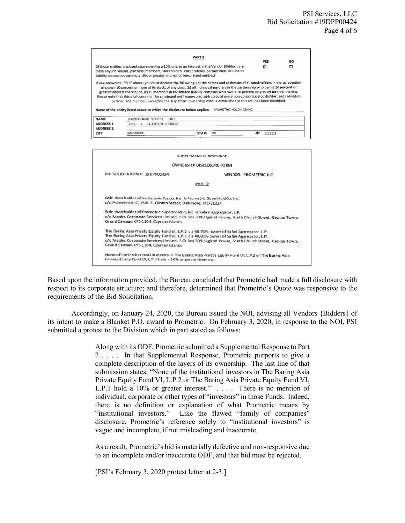|                                                                                                                                                                                                                                                                                                                                                                                                                                                                                                                                                                                                                                                                                                                                                | Of those entities disclosed above owning a 10% or greater interest in the Vendor (Bidder), are<br>there any individuals, partners, members, stockholders, corporations, partnerships, or limited | <b>PART 2</b> |  |                         | <b>YES</b><br>Ы | <b>NO</b><br>□ |  |  |  |
|------------------------------------------------------------------------------------------------------------------------------------------------------------------------------------------------------------------------------------------------------------------------------------------------------------------------------------------------------------------------------------------------------------------------------------------------------------------------------------------------------------------------------------------------------------------------------------------------------------------------------------------------------------------------------------------------------------------------------------------------|--------------------------------------------------------------------------------------------------------------------------------------------------------------------------------------------------|---------------|--|-------------------------|-----------------|----------------|--|--|--|
| liability companies owning a 10% or greater interest of those listed entities?<br>If you answered, "YES" above, you must disclose the following: (a) the names and addresses of all stockholders in the corporation<br>who own 10 percent or more of its stock, of any class; (b) all individual partners in the partnership who own a 10 percent or<br>greater interest therein; or, (c) all members in the limited liability company who own a 10 percent or greater interest therein.<br>Please note that this disclosure shall be continued until names and addresses of every non-corporate stockholder, and individual<br>partner, and member, exceeding the 10 percent ownership criteria established in this act, has been identified. |                                                                                                                                                                                                  |               |  |                         |                 |                |  |  |  |
| <b>NAME</b><br><b>ADDRESS 1</b><br><b>ADDRESS 2</b><br><b>CITY</b>                                                                                                                                                                                                                                                                                                                                                                                                                                                                                                                                                                                                                                                                             | Name of the entity listed above to which the disclosure below applies:<br>SARBACANE TOPCO, INC.<br>1501 S. CLINTON STREET                                                                        |               |  | PROMETRIC HOLDINGS INC. |                 |                |  |  |  |

| SUPPLEMENTAL RESPONSE                                                                                                                                                                                                                                                                                                                      |
|--------------------------------------------------------------------------------------------------------------------------------------------------------------------------------------------------------------------------------------------------------------------------------------------------------------------------------------------|
| <b>OWNERSHIP DISCLOSURE FORM</b>                                                                                                                                                                                                                                                                                                           |
| BID SOLICITATION #: 19DPP00424<br>VENDOR: PROMETRIC ILC                                                                                                                                                                                                                                                                                    |
| PART <sub>2</sub>                                                                                                                                                                                                                                                                                                                          |
| Sole shareholder of Sarbacane Topco, Inc. is Prometric SuperHoldCo, Inc.<br>c/o Prometric LLC, 1501 S. Clinton Street, Baltimore, MD 21224                                                                                                                                                                                                 |
| Sole shareholder of Prometric SuperHoldCo, Inc. is Safari Aggregator, L.P.<br>c/o Maples Corporate Services Limited, P.O. Box 309, Ugland House, South Church Street, George Town,<br>Grand Cayman KY1-1104, Cayman Islands                                                                                                                |
| The Baring Asia Private Equity Fund VI, L.P.2 is a 58.78% owner of Safari Aggregator, L.P.<br>The Baring Asia Private Equity Fund VI, L.P. 1 is a 40,82% owner of Safari Aggregator, L.P.<br>c/o Maples Corporate Services Limited, P.O. Box 309, Ugland House, South Church Street, George Town,<br>Grand Cayman KY1-1104, Cayman Islands |
| None of the institutional investors in The Baring Asia Private Equity Fund VI, L.P.2 or The Baring Asia<br>Private Equity Fund VI, L.P.1 hold a 10% or greater interest.                                                                                                                                                                   |

Based upon the information provided, the Bureau concluded that Prometric had made a full disclosure with respect to its corporate structure; and therefore, determined that Prometric's Quote was responsive to the requirements of the Bid Solicitation.

Accordingly, on January 24, 2020, the Bureau issued the NOI, advising all Vendors {Bidders} of its intent to make a Blanket P.O. award to Prometric. On February 3, 2020, in response to the NOI, PSI submitted a protest to the Division which in part stated as follows:

> Along with its ODF, Prometric submitted a Supplemental Response to Part 2 . . . . In that Supplemental Response, Prometric purports to give a complete description of the layers of its ownership. The last line of that submission states, "None of the institutional investors in The Baring Asia Private Equity Fund VI, L.P.2 or The Baring Asia Private Equity Fund VI, L.P.1 hold a 10% or greater interest." . . . . There is no mention of individual, corporate or other types of "investors" in those Funds. Indeed, there is no definition or explanation of what Prometric means by "institutional investors." Like the flawed "family of companies" disclosure, Prometric's reference solely to "institutional investors" is vague and incomplete, if not misleading and inaccurate.

> As a result, Prometric's bid is materially defective and non-responsive due to an incomplete and/or inaccurate ODF, and that bid must be rejected.

[PSI's February 3, 2020 protest letter at 2-3.]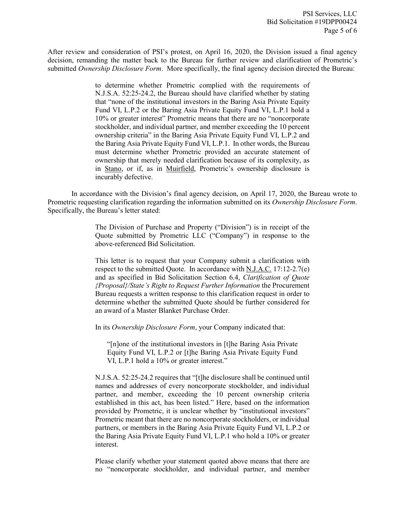After review and consideration of PSI's protest, on April 16, 2020, the Division issued a final agency decision, remanding the matter back to the Bureau for further review and clarification of Prometric's submitted *Ownership Disclosure Form*. More specifically, the final agency decision directed the Bureau:

> to determine whether Prometric complied with the requirements of N.J.S.A. 52:25-24.2, the Bureau should have clarified whether by stating that "none of the institutional investors in the Baring Asia Private Equity Fund VI, L.P.2 or the Baring Asia Private Equity Fund VI, L.P.1 hold a 10% or greater interest" Prometric means that there are no "noncorporate stockholder, and individual partner, and member exceeding the 10 percent ownership criteria" in the Baring Asia Private Equity Fund VI, L.P.2 and the Baring Asia Private Equity Fund VI, L.P.1. In other words, the Bureau must determine whether Prometric provided an accurate statement of ownership that merely needed clarification because of its complexity, as in Stano, or if, as in Muirfield, Prometric's ownership disclosure is incurably defective.

In accordance with the Division's final agency decision, on April 17, 2020, the Bureau wrote to Prometric requesting clarification regarding the information submitted on its *Ownership Disclosure Form*. Specifically, the Bureau's letter stated:

> The Division of Purchase and Property ("Division") is in receipt of the Quote submitted by Prometric LLC ("Company") in response to the above-referenced Bid Solicitation.

> This letter is to request that your Company submit a clarification with respect to the submitted Quote. In accordance with N.J.A.C. 17:12-2.7(e) and as specified in Bid Solicitation Section 6.4, *Clarification of Quote {Proposal}/State's Right to Request Further Information* the Procurement Bureau requests a written response to this clarification request in order to determine whether the submitted Quote should be further considered for an award of a Master Blanket Purchase Order.

In its *Ownership Disclosure Form*, your Company indicated that:

"[n]one of the institutional investors in [t]he Baring Asia Private Equity Fund VI, L.P.2 or [t]he Baring Asia Private Equity Fund VI, L.P.1 hold a 10% or greater interest."

N.J.S.A. 52:25-24.2 requires that "[t]he disclosure shall be continued until names and addresses of every noncorporate stockholder, and individual partner, and member, exceeding the 10 percent ownership criteria established in this act, has been listed." Here, based on the information provided by Prometric, it is unclear whether by "institutional investors" Prometric meant that there are no noncorporate stockholders, or individual partners, or members in the Baring Asia Private Equity Fund VI, L.P.2 or the Baring Asia Private Equity Fund VI, L.P.1 who hold a 10% or greater interest.

Please clarify whether your statement quoted above means that there are no "noncorporate stockholder, and individual partner, and member